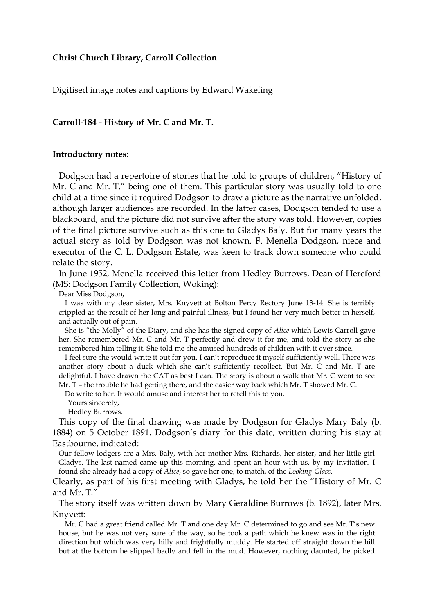## **Christ Church Library, Carroll Collection**

Digitised image notes and captions by Edward Wakeling

## **Carroll-184 - History of Mr. C and Mr. T.**

## **Introductory notes:**

Dodgson had a repertoire of stories that he told to groups of children, "History of Mr. C and Mr. T." being one of them. This particular story was usually told to one child at a time since it required Dodgson to draw a picture as the narrative unfolded, although larger audiences are recorded. In the latter cases, Dodgson tended to use a blackboard, and the picture did not survive after the story was told. However, copies of the final picture survive such as this one to Gladys Baly. But for many years the actual story as told by Dodgson was not known. F. Menella Dodgson, niece and executor of the C. L. Dodgson Estate, was keen to track down someone who could relate the story.

In June 1952, Menella received this letter from Hedley Burrows, Dean of Hereford (MS: Dodgson Family Collection, Woking):

Dear Miss Dodgson,

I was with my dear sister, Mrs. Knyvett at Bolton Percy Rectory June 13-14. She is terribly crippled as the result of her long and painful illness, but I found her very much better in herself, and actually out of pain.

She is "the Molly" of the Diary, and she has the signed copy of *Alice* which Lewis Carroll gave her. She remembered Mr. C and Mr. T perfectly and drew it for me, and told the story as she remembered him telling it. She told me she amused hundreds of children with it ever since.

I feel sure she would write it out for you. I can't reproduce it myself sufficiently well. There was another story about a duck which she can't sufficiently recollect. But Mr. C and Mr. T are delightful. I have drawn the CAT as best I can. The story is about a walk that Mr. C went to see Mr. T – the trouble he had getting there, and the easier way back which Mr. T showed Mr. C.

Do write to her. It would amuse and interest her to retell this to you.

Yours sincerely,

Hedley Burrows.

This copy of the final drawing was made by Dodgson for Gladys Mary Baly (b. 1884) on 5 October 1891. Dodgson's diary for this date, written during his stay at Eastbourne, indicated:

Our fellow-lodgers are a Mrs. Baly, with her mother Mrs. Richards, her sister, and her little girl Gladys. The last-named came up this morning, and spent an hour with us, by my invitation. I found she already had a copy of *Alice*, so gave her one, to match, of the *Looking-Glass*.

Clearly, as part of his first meeting with Gladys, he told her the "History of Mr. C and Mr. T."

The story itself was written down by Mary Geraldine Burrows (b. 1892), later Mrs. Knyvett:

Mr. C had a great friend called Mr. T and one day Mr. C determined to go and see Mr. T's new house, but he was not very sure of the way, so he took a path which he knew was in the right direction but which was very hilly and frightfully muddy. He started off straight down the hill but at the bottom he slipped badly and fell in the mud. However, nothing daunted, he picked